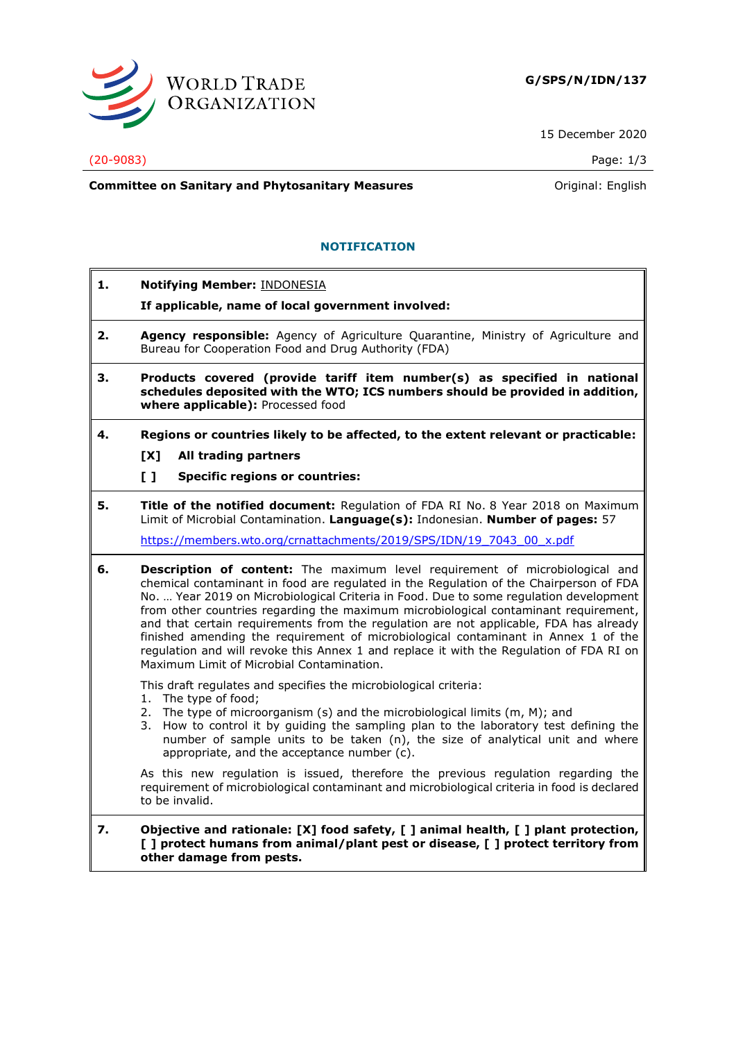

15 December 2020

### (20-9083) Page: 1/3

**Committee on Sanitary and Phytosanitary Measures Committee on Sanitary and Phytosanitary Measures Committee And American** 

# **NOTIFICATION**

**1. Notifying Member:** INDONESIA

## **If applicable, name of local government involved:**

- **2. Agency responsible:** Agency of Agriculture Quarantine, Ministry of Agriculture and Bureau for Cooperation Food and Drug Authority (FDA)
- **3. Products covered (provide tariff item number(s) as specified in national schedules deposited with the WTO; ICS numbers should be provided in addition, where applicable):** Processed food
- **4. Regions or countries likely to be affected, to the extent relevant or practicable:**
	- **[X] All trading partners**
	- **[ ] Specific regions or countries:**

**5. Title of the notified document:** Regulation of FDA RI No. 8 Year 2018 on Maximum Limit of Microbial Contamination. **Language(s):** Indonesian. **Number of pages:** 57

[https://members.wto.org/crnattachments/2019/SPS/IDN/19\\_7043\\_00\\_x.pdf](https://members.wto.org/crnattachments/2019/SPS/IDN/19_7043_00_x.pdf)

**6. Description of content:** The maximum level requirement of microbiological and chemical contaminant in food are regulated in the Regulation of the Chairperson of FDA No. … Year 2019 on Microbiological Criteria in Food. Due to some regulation development from other countries regarding the maximum microbiological contaminant requirement, and that certain requirements from the regulation are not applicable, FDA has already finished amending the requirement of microbiological contaminant in Annex 1 of the regulation and will revoke this Annex 1 and replace it with the Regulation of FDA RI on Maximum Limit of Microbial Contamination.

This draft regulates and specifies the microbiological criteria:

- 1. The type of food;
- 2. The type of microorganism (s) and the microbiological limits (m, M); and
- 3. How to control it by guiding the sampling plan to the laboratory test defining the number of sample units to be taken (n), the size of analytical unit and where appropriate, and the acceptance number (c).

As this new regulation is issued, therefore the previous regulation regarding the requirement of microbiological contaminant and microbiological criteria in food is declared to be invalid.

**7. Objective and rationale: [X] food safety, [ ] animal health, [ ] plant protection, [ ] protect humans from animal/plant pest or disease, [ ] protect territory from other damage from pests.**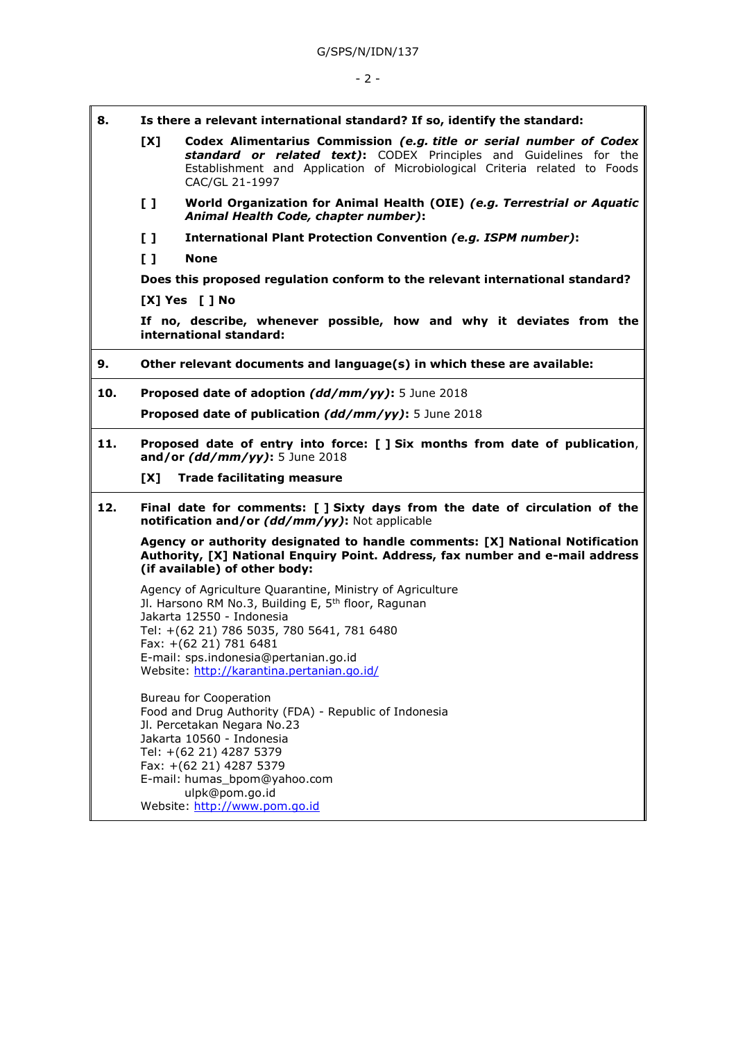- **8. Is there a relevant international standard? If so, identify the standard:**
	- **[X] Codex Alimentarius Commission** *(e.g. title or serial number of Codex standard or related text)***:** CODEX Principles and Guidelines for the Establishment and Application of Microbiological Criteria related to Foods CAC/GL 21-1997
	- **[ ] World Organization for Animal Health (OIE)** *(e.g. Terrestrial or Aquatic Animal Health Code, chapter number)***:**
	- **[ ] International Plant Protection Convention** *(e.g. ISPM number)***:**
	- **[ ] None**

**Does this proposed regulation conform to the relevant international standard?** 

**[X] Yes [ ] No**

**If no, describe, whenever possible, how and why it deviates from the international standard:**

- **9. Other relevant documents and language(s) in which these are available:**
- **10. Proposed date of adoption** *(dd/mm/yy)***:** 5 June 2018 **Proposed date of publication** *(dd/mm/yy)***:** 5 June 2018
- **11. Proposed date of entry into force: [ ] Six months from date of publication**, **and/or** *(dd/mm/yy)***:** 5 June 2018

**[X] Trade facilitating measure**

**12. Final date for comments: [ ] Sixty days from the date of circulation of the notification and/or** *(dd/mm/yy)***:** Not applicable

**Agency or authority designated to handle comments: [X] National Notification Authority, [X] National Enquiry Point. Address, fax number and e-mail address (if available) of other body:**

Agency of Agriculture Quarantine, Ministry of Agriculture Jl. Harsono RM No.3, Building E, 5<sup>th</sup> floor, Ragunan Jakarta 12550 - Indonesia Tel: +(62 21) 786 5035, 780 5641, 781 6480 Fax: +(62 21) 781 6481 E-mail: sps.indonesia@pertanian.go.id Website:<http://karantina.pertanian.go.id/>

Bureau for Cooperation Food and Drug Authority (FDA) - Republic of Indonesia Jl. Percetakan Negara No.23 Jakarta 10560 - Indonesia Tel: +(62 21) 4287 5379 Fax: +(62 21) 4287 5379 E-mail: humas\_bpom@yahoo.com ulpk@pom.go.id Website: [http://www.pom.go.id](http://www.pom.go.id/)